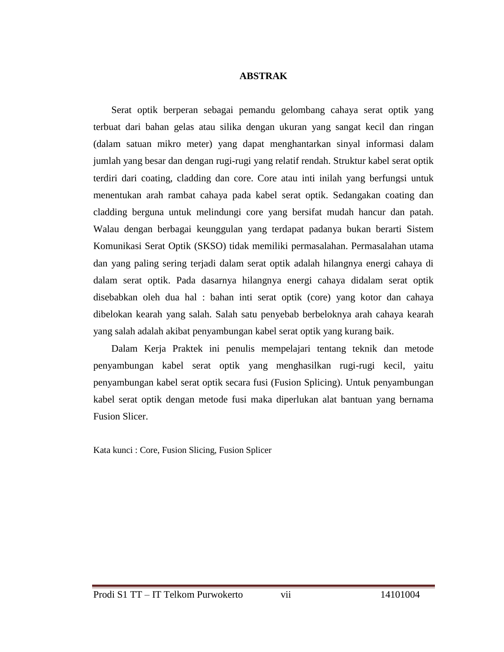## **ABSTRAK**

Serat optik berperan sebagai pemandu gelombang cahaya serat optik yang terbuat dari bahan gelas atau silika dengan ukuran yang sangat kecil dan ringan (dalam satuan mikro meter) yang dapat menghantarkan sinyal informasi dalam jumlah yang besar dan dengan rugi-rugi yang relatif rendah. Struktur kabel serat optik terdiri dari coating, cladding dan core. Core atau inti inilah yang berfungsi untuk menentukan arah rambat cahaya pada kabel serat optik. Sedangakan coating dan cladding berguna untuk melindungi core yang bersifat mudah hancur dan patah. Walau dengan berbagai keunggulan yang terdapat padanya bukan berarti Sistem Komunikasi Serat Optik (SKSO) tidak memiliki permasalahan. Permasalahan utama dan yang paling sering terjadi dalam serat optik adalah hilangnya energi cahaya di dalam serat optik. Pada dasarnya hilangnya energi cahaya didalam serat optik disebabkan oleh dua hal : bahan inti serat optik (core) yang kotor dan cahaya dibelokan kearah yang salah. Salah satu penyebab berbeloknya arah cahaya kearah yang salah adalah akibat penyambungan kabel serat optik yang kurang baik.

Dalam Kerja Praktek ini penulis mempelajari tentang teknik dan metode penyambungan kabel serat optik yang menghasilkan rugi-rugi kecil, yaitu penyambungan kabel serat optik secara fusi (Fusion Splicing). Untuk penyambungan kabel serat optik dengan metode fusi maka diperlukan alat bantuan yang bernama Fusion Slicer.

Kata kunci : Core, Fusion Slicing, Fusion Splicer